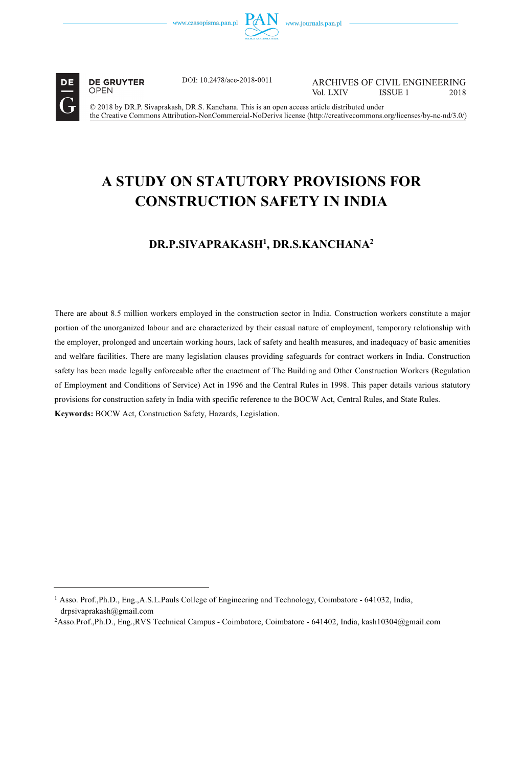

**DE GRUYTER OPEN** 

DOI: 10.2478/ace-2018-0011

ARCHIVES OF CIVIL ENGINEERING Vol. LXIV **ISSUE 1** 2018

© 2018 by DR.P. Sivaprakash, DR.S. Kanchana. This is an open access article distributed under the Creative Commons Attribution-NonCommercial-NoDerivs license (http://creativecommons.org/licenses/by-nc-nd/3.0/)

# **A STUDY ON STATUTORY PROVISIONS FOR CONSTRUCTION SAFETY IN INDIA**

## **DR.P.SIVAPRAKASH1 , DR.S.KANCHANA2**

There are about 8.5 million workers employed in the construction sector in India. Construction workers constitute a major portion of the unorganized labour and are characterized by their casual nature of employment, temporary relationship with the employer, prolonged and uncertain working hours, lack of safety and health measures, and inadequacy of basic amenities and welfare facilities. There are many legislation clauses providing safeguards for contract workers in India. Construction safety has been made legally enforceable after the enactment of The Building and Other Construction Workers (Regulation of Employment and Conditions of Service) Act in 1996 and the Central Rules in 1998. This paper details various statutory provisions for construction safety in India with specific reference to the BOCW Act, Central Rules, and State Rules. **Keywords:** BOCW Act, Construction Safety, Hazards, Legislation.

<sup>1</sup> Asso. Prof.,Ph.D., Eng.,A.S.L.Pauls College of Engineering and Technology, Coimbatore - 641032, India, drpsivaprakash@gmail.com

<sup>2</sup>Asso.Prof.,Ph.D., Eng.,RVS Technical Campus - Coimbatore, Coimbatore - 641402, India, kash10304@gmail.com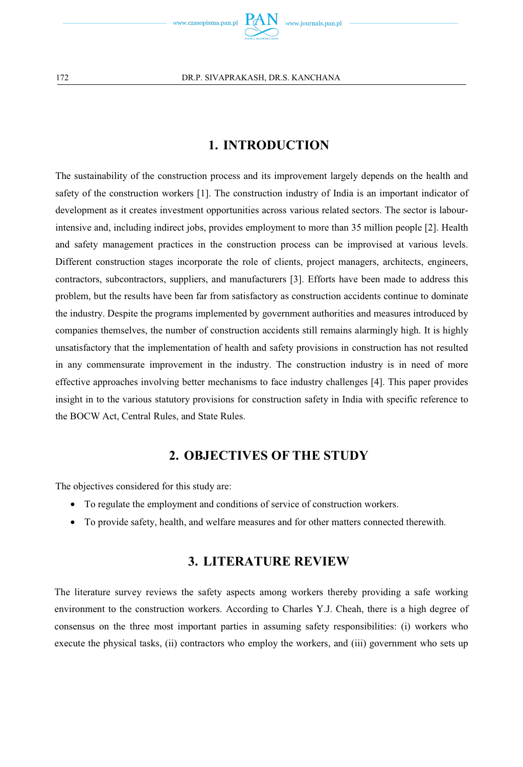

## **1. INTRODUCTION**

The sustainability of the construction process and its improvement largely depends on the health and safety of the construction workers [1]. The construction industry of India is an important indicator of development as it creates investment opportunities across various related sectors. The sector is labourintensive and, including indirect jobs, provides employment to more than 35 million people [2]. Health and safety management practices in the construction process can be improvised at various levels. Different construction stages incorporate the role of clients, project managers, architects, engineers, contractors, subcontractors, suppliers, and manufacturers [3]. Efforts have been made to address this problem, but the results have been far from satisfactory as construction accidents continue to dominate the industry. Despite the programs implemented by government authorities and measures introduced by companies themselves, the number of construction accidents still remains alarmingly high. It is highly unsatisfactory that the implementation of health and safety provisions in construction has not resulted in any commensurate improvement in the industry. The construction industry is in need of more effective approaches involving better mechanisms to face industry challenges [4]. This paper provides insight in to the various statutory provisions for construction safety in India with specific reference to the BOCW Act, Central Rules, and State Rules.

## **2. OBJECTIVES OF THE STUDY**

The objectives considered for this study are:

- To regulate the employment and conditions of service of construction workers.
- To provide safety, health, and welfare measures and for other matters connected therewith.

## **3. LITERATURE REVIEW**

The literature survey reviews the safety aspects among workers thereby providing a safe working environment to the construction workers. According to Charles Y.J. Cheah, there is a high degree of consensus on the three most important parties in assuming safety responsibilities: (i) workers who execute the physical tasks, (ii) contractors who employ the workers, and (iii) government who sets up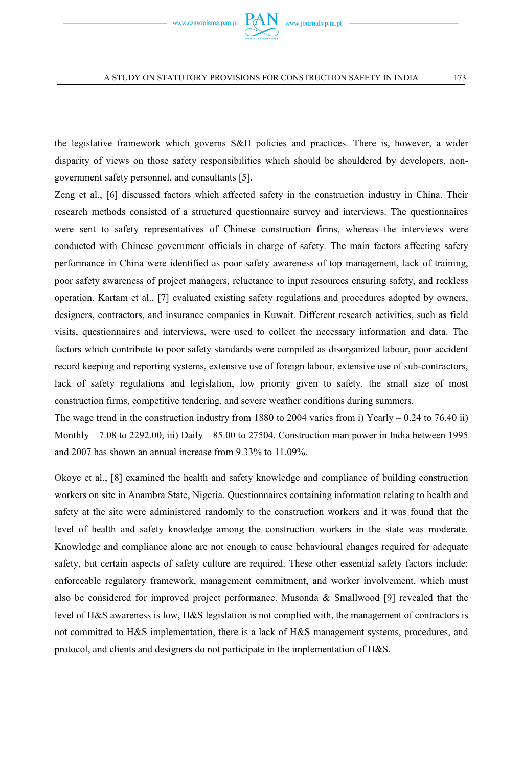

the legislative framework which governs S&H policies and practices. There is, however, a wider disparity of views on those safety responsibilities which should be shouldered by developers, nongovernment safety personnel, and consultants [5].

Zeng et al., [6] discussed factors which affected safety in the construction industry in China. Their research methods consisted of a structured questionnaire survey and interviews. The questionnaires were sent to safety representatives of Chinese construction firms, whereas the interviews were conducted with Chinese government officials in charge of safety. The main factors affecting safety performance in China were identified as poor safety awareness of top management, lack of training, poor safety awareness of project managers, reluctance to input resources ensuring safety, and reckless operation. Kartam et al., [7] evaluated existing safety regulations and procedures adopted by owners, designers, contractors, and insurance companies in Kuwait. Different research activities, such as field visits, questionnaires and interviews, were used to collect the necessary information and data. The factors which contribute to poor safety standards were compiled as disorganized labour, poor accident record keeping and reporting systems, extensive use of foreign labour, extensive use of sub-contractors, lack of safety regulations and legislation, low priority given to safety, the small size of most construction firms, competitive tendering, and severe weather conditions during summers.

The wage trend in the construction industry from 1880 to 2004 varies from i) Yearly  $- 0.24$  to 76.40 ii) Monthly – 7.08 to 2292.00, iii) Daily – 85.00 to 27504. Construction man power in India between 1995 and 2007 has shown an annual increase from 9.33% to 11.09%.

Okoye et al., [8] examined the health and safety knowledge and compliance of building construction workers on site in Anambra State, Nigeria. Questionnaires containing information relating to health and safety at the site were administered randomly to the construction workers and it was found that the level of health and safety knowledge among the construction workers in the state was moderate. Knowledge and compliance alone are not enough to cause behavioural changes required for adequate safety, but certain aspects of safety culture are required. These other essential safety factors include: enforceable regulatory framework, management commitment, and worker involvement, which must also be considered for improved project performance. Musonda & Smallwood [9] revealed that the level of H&S awareness is low, H&S legislation is not complied with, the management of contractors is not committed to H&S implementation, there is a lack of H&S management systems, procedures, and protocol, and clients and designers do not participate in the implementation of H&S.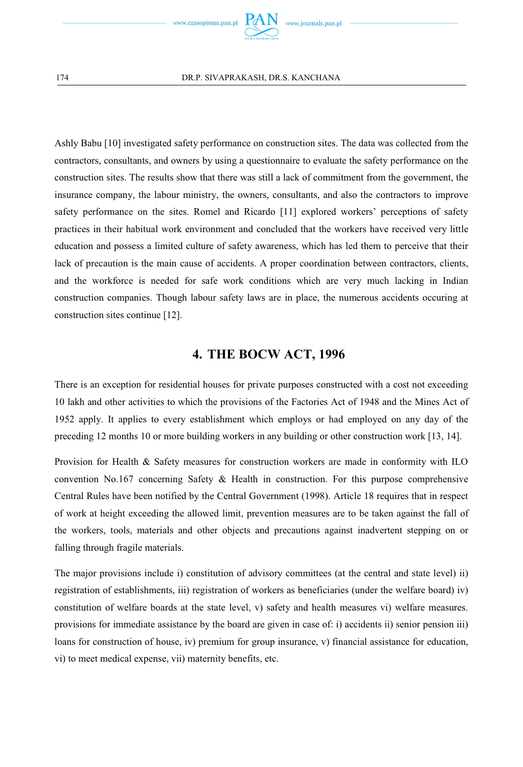

Ashly Babu [10] investigated safety performance on construction sites. The data was collected from the contractors, consultants, and owners by using a questionnaire to evaluate the safety performance on the construction sites. The results show that there was still a lack of commitment from the government, the insurance company, the labour ministry, the owners, consultants, and also the contractors to improve safety performance on the sites. Romel and Ricardo [11] explored workers' perceptions of safety practices in their habitual work environment and concluded that the workers have received very little education and possess a limited culture of safety awareness, which has led them to perceive that their lack of precaution is the main cause of accidents. A proper coordination between contractors, clients, and the workforce is needed for safe work conditions which are very much lacking in Indian construction companies. Though labour safety laws are in place, the numerous accidents occuring at construction sites continue [12].

### **4. THE BOCW ACT, 1996**

There is an exception for residential houses for private purposes constructed with a cost not exceeding 10 lakh and other activities to which the provisions of the Factories Act of 1948 and the Mines Act of 1952 apply. It applies to every establishment which employs or had employed on any day of the preceding 12 months 10 or more building workers in any building or other construction work [13, 14].

Provision for Health & Safety measures for construction workers are made in conformity with ILO convention No.167 concerning Safety & Health in construction. For this purpose comprehensive Central Rules have been notified by the Central Government (1998). Article 18 requires that in respect of work at height exceeding the allowed limit, prevention measures are to be taken against the fall of the workers, tools, materials and other objects and precautions against inadvertent stepping on or falling through fragile materials.

The major provisions include i) constitution of advisory committees (at the central and state level) ii) registration of establishments, iii) registration of workers as beneficiaries (under the welfare board) iv) constitution of welfare boards at the state level, v) safety and health measures vi) welfare measures. provisions for immediate assistance by the board are given in case of: i) accidents ii) senior pension iii) loans for construction of house, iv) premium for group insurance, v) financial assistance for education, vi) to meet medical expense, vii) maternity benefits, etc.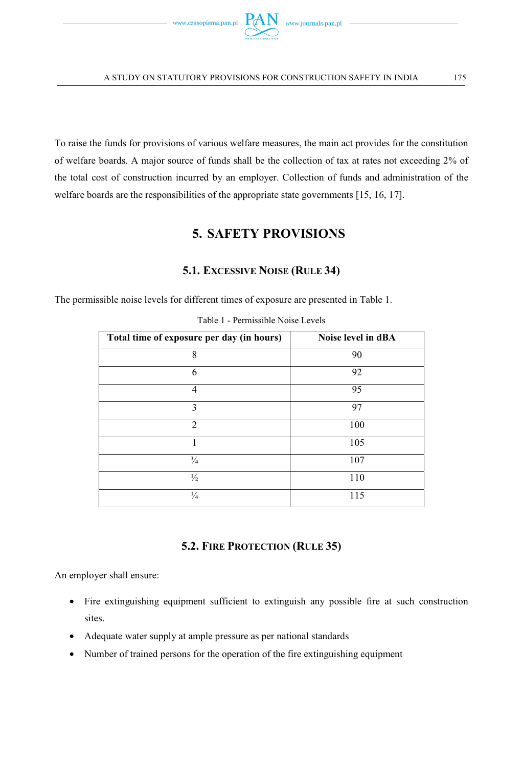

To raise the funds for provisions of various welfare measures, the main act provides for the constitution of welfare boards. A major source of funds shall be the collection of tax at rates not exceeding 2% of the total cost of construction incurred by an employer. Collection of funds and administration of the welfare boards are the responsibilities of the appropriate state governments [15, 16, 17].

### **5. SAFETY PROVISIONS**

#### **5.1. EXCESSIVE NOISE (RULE 34)**

The permissible noise levels for different times of exposure are presented in Table 1.

| Total time of exposure per day (in hours) | Noise level in dBA |
|-------------------------------------------|--------------------|
| 8                                         | 90                 |
| 6                                         | 92                 |
| 4                                         | 95                 |
| 3                                         | 97                 |
| $\overline{c}$                            | 100                |
|                                           | 105                |
| $\frac{3}{4}$                             | 107                |
| $\frac{1}{2}$                             | 110                |
| $\frac{1}{4}$                             | 115                |

Table 1 - Permissible Noise Levels

#### **5.2. FIRE PROTECTION (RULE 35)**

An employer shall ensure:

- Fire extinguishing equipment sufficient to extinguish any possible fire at such construction sites.
- Adequate water supply at ample pressure as per national standards
- Number of trained persons for the operation of the fire extinguishing equipment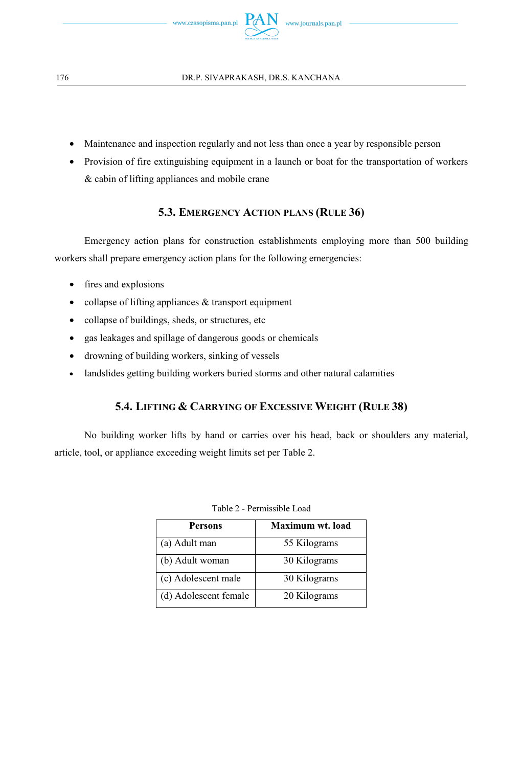

- Maintenance and inspection regularly and not less than once a year by responsible person
- Provision of fire extinguishing equipment in a launch or boat for the transportation of workers & cabin of lifting appliances and mobile crane

#### **5.3. EMERGENCY ACTION PLANS (RULE 36)**

Emergency action plans for construction establishments employing more than 500 building workers shall prepare emergency action plans for the following emergencies:

- fires and explosions
- collapse of lifting appliances & transport equipment
- collapse of buildings, sheds, or structures, etc
- gas leakages and spillage of dangerous goods or chemicals
- drowning of building workers, sinking of vessels
- landslides getting building workers buried storms and other natural calamities

#### **5.4. LIFTING & CARRYING OF EXCESSIVE WEIGHT (RULE 38)**

No building worker lifts by hand or carries over his head, back or shoulders any material, article, tool, or appliance exceeding weight limits set per Table 2.

| <b>Persons</b>        | Maximum wt. load |
|-----------------------|------------------|
| (a) Adult man         | 55 Kilograms     |
| (b) Adult woman       | 30 Kilograms     |
| (c) Adolescent male   | 30 Kilograms     |
| (d) Adolescent female | 20 Kilograms     |

| Table 2 - Permissible Load |
|----------------------------|
|----------------------------|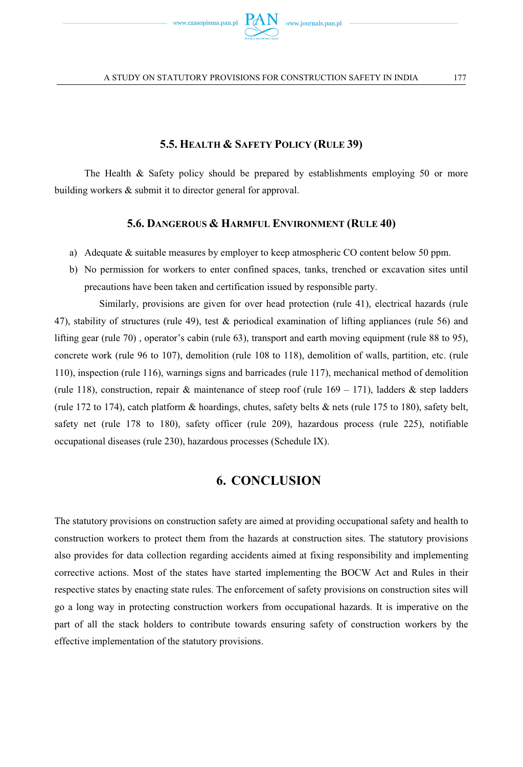

#### **5.5. HEALTH & SAFETY POLICY (RULE 39)**

The Health & Safety policy should be prepared by establishments employing 50 or more building workers & submit it to director general for approval.

#### **5.6. DANGEROUS & HARMFUL ENVIRONMENT (RULE 40)**

- a) Adequate & suitable measures by employer to keep atmospheric CO content below 50 ppm.
- b) No permission for workers to enter confined spaces, tanks, trenched or excavation sites until precautions have been taken and certification issued by responsible party.

 Similarly, provisions are given for over head protection (rule 41), electrical hazards (rule 47), stability of structures (rule 49), test & periodical examination of lifting appliances (rule 56) and lifting gear (rule 70) , operator's cabin (rule 63), transport and earth moving equipment (rule 88 to 95), concrete work (rule 96 to 107), demolition (rule 108 to 118), demolition of walls, partition, etc. (rule 110), inspection (rule 116), warnings signs and barricades (rule 117), mechanical method of demolition (rule 118), construction, repair & maintenance of steep roof (rule  $169 - 171$ ), ladders & step ladders (rule 172 to 174), catch platform & hoardings, chutes, safety belts & nets (rule 175 to 180), safety belt, safety net (rule 178 to 180), safety officer (rule 209), hazardous process (rule 225), notifiable occupational diseases (rule 230), hazardous processes (Schedule IX).

### **6. CONCLUSION**

The statutory provisions on construction safety are aimed at providing occupational safety and health to construction workers to protect them from the hazards at construction sites. The statutory provisions also provides for data collection regarding accidents aimed at fixing responsibility and implementing corrective actions. Most of the states have started implementing the BOCW Act and Rules in their respective states by enacting state rules. The enforcement of safety provisions on construction sites will go a long way in protecting construction workers from occupational hazards. It is imperative on the part of all the stack holders to contribute towards ensuring safety of construction workers by the effective implementation of the statutory provisions.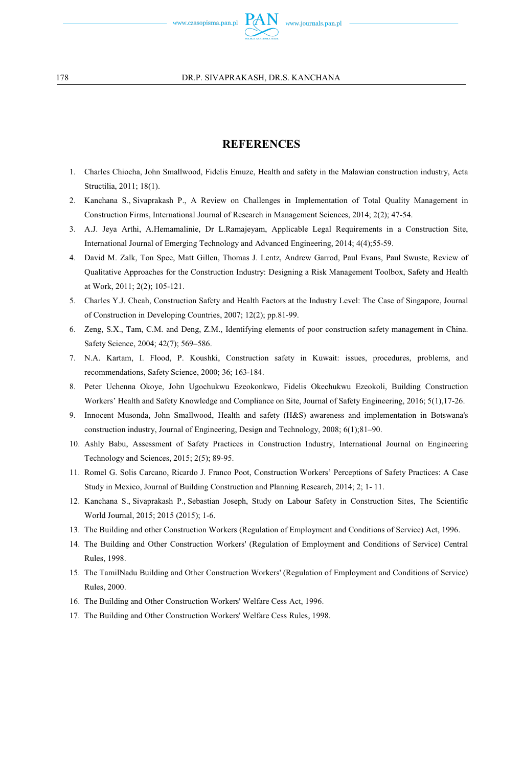

#### **REFERENCES**

- 1. Charles Chiocha, John Smallwood, Fidelis Emuze, Health and safety in the Malawian construction industry, Acta Structilia, 2011; 18(1).
- 2. Kanchana S., Sivaprakash P., A Review on Challenges in Implementation of Total Quality Management in Construction Firms, International Journal of Research in Management Sciences, 2014; 2(2); 47-54.
- 3. A.J. Jeya Arthi, A.Hemamalinie, Dr L.Ramajeyam, Applicable Legal Requirements in a Construction Site, International Journal of Emerging Technology and Advanced Engineering, 2014; 4(4);55-59.
- 4. David M. Zalk, Ton Spee, Matt Gillen, Thomas J. Lentz, Andrew Garrod, Paul Evans, Paul Swuste, Review of Qualitative Approaches for the Construction Industry: Designing a Risk Management Toolbox, Safety and Health at Work, 2011; 2(2); 105-121.
- 5. Charles Y.J. Cheah, Construction Safety and Health Factors at the Industry Level: The Case of Singapore, Journal of Construction in Developing Countries, 2007; 12(2); pp.81-99.
- 6. Zeng, S.X., Tam, C.M. and Deng, Z.M., Identifying elements of poor construction safety management in China. Safety Science, 2004; 42(7); 569–586.
- 7. N.A. Kartam, I. Flood, P. Koushki, Construction safety in Kuwait: issues, procedures, problems, and recommendations, Safety Science, 2000; 36; 163-184.
- 8. Peter Uchenna Okoye, John Ugochukwu Ezeokonkwo, Fidelis Okechukwu Ezeokoli, Building Construction Workers' Health and Safety Knowledge and Compliance on Site, Journal of Safety Engineering, 2016; 5(1),17-26.
- 9. Innocent Musonda, John Smallwood, Health and safety (H&S) awareness and implementation in Botswana's construction industry, Journal of Engineering, Design and Technology, 2008; 6(1);81–90.
- 10. Ashly Babu, Assessment of Safety Practices in Construction Industry, International Journal on Engineering Technology and Sciences, 2015; 2(5); 89-95.
- 11. Romel G. Solis Carcano, Ricardo J. Franco Poot, Construction Workers' Perceptions of Safety Practices: A Case Study in Mexico, Journal of Building Construction and Planning Research, 2014; 2; 1- 11.
- 12. Kanchana S., Sivaprakash P., Sebastian Joseph, Study on Labour Safety in Construction Sites, The Scientific World Journal, 2015; 2015 (2015); 1-6.
- 13. The Building and other Construction Workers (Regulation of Employment and Conditions of Service) Act, 1996.
- 14. The Building and Other Construction Workers' (Regulation of Employment and Conditions of Service) Central Rules, 1998.
- 15. The TamilNadu Building and Other Construction Workers' (Regulation of Employment and Conditions of Service) Rules, 2000.
- 16. The Building and Other Construction Workers' Welfare Cess Act, 1996.
- 17. The Building and Other Construction Workers' Welfare Cess Rules, 1998.